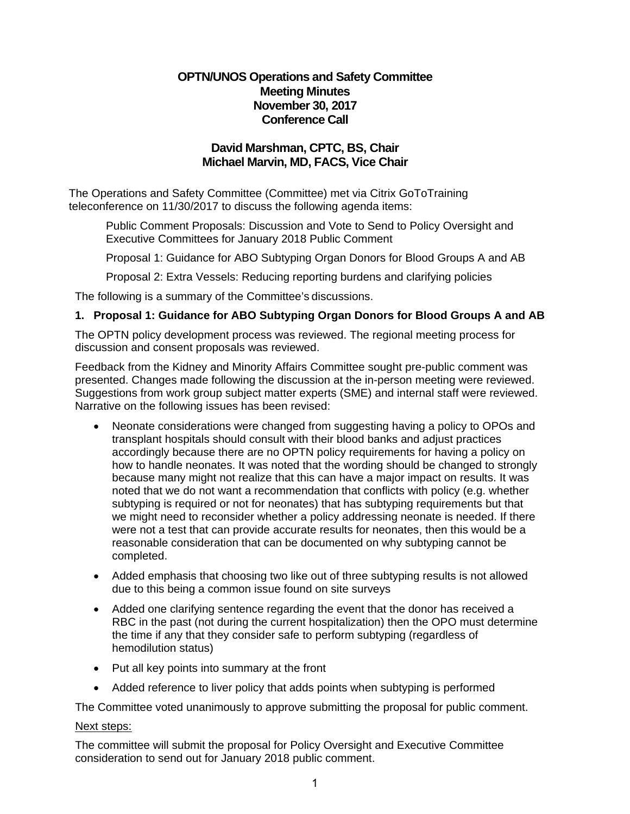# **OPTN/UNOS Operations and Safety Committee Meeting Minutes November 30, 2017 Conference Call**

# **David Marshman, CPTC, BS, Chair Michael Marvin, MD, FACS, Vice Chair**

The Operations and Safety Committee (Committee) met via Citrix GoToTraining teleconference on 11/30/2017 to discuss the following agenda items:

Public Comment Proposals: Discussion and Vote to Send to Policy Oversight and Executive Committees for January 2018 Public Comment

Proposal 1: Guidance for ABO Subtyping Organ Donors for Blood Groups A and AB

Proposal 2: Extra Vessels: Reducing reporting burdens and clarifying policies

The following is a summary of the Committee's discussions.

# **1. Proposal 1: Guidance for ABO Subtyping Organ Donors for Blood Groups A and AB**

The OPTN policy development process was reviewed. The regional meeting process for discussion and consent proposals was reviewed.

Feedback from the Kidney and Minority Affairs Committee sought pre-public comment was presented. Changes made following the discussion at the in-person meeting were reviewed. Suggestions from work group subject matter experts (SME) and internal staff were reviewed. Narrative on the following issues has been revised:

- Neonate considerations were changed from suggesting having a policy to OPOs and transplant hospitals should consult with their blood banks and adjust practices accordingly because there are no OPTN policy requirements for having a policy on how to handle neonates. It was noted that the wording should be changed to strongly because many might not realize that this can have a major impact on results. It was noted that we do not want a recommendation that conflicts with policy (e.g. whether subtyping is required or not for neonates) that has subtyping requirements but that we might need to reconsider whether a policy addressing neonate is needed. If there were not a test that can provide accurate results for neonates, then this would be a reasonable consideration that can be documented on why subtyping cannot be completed.
- Added emphasis that choosing two like out of three subtyping results is not allowed due to this being a common issue found on site surveys
- Added one clarifying sentence regarding the event that the donor has received a RBC in the past (not during the current hospitalization) then the OPO must determine the time if any that they consider safe to perform subtyping (regardless of hemodilution status)
- Put all key points into summary at the front
- Added reference to liver policy that adds points when subtyping is performed

The Committee voted unanimously to approve submitting the proposal for public comment.

### Next steps:

The committee will submit the proposal for Policy Oversight and Executive Committee consideration to send out for January 2018 public comment.